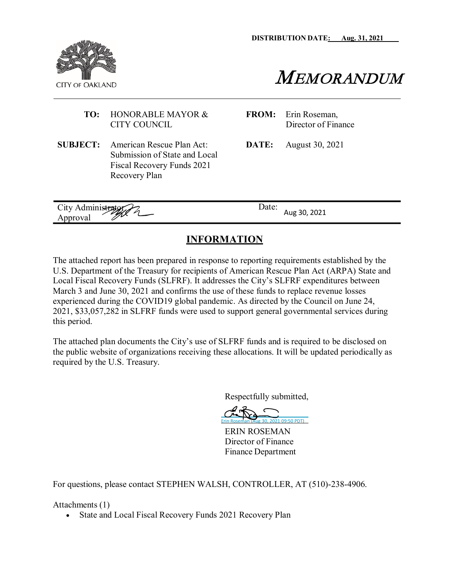**DISTRIBUTION DATE: Aug. 31, 2021**



MEMORANDUM

#### **TO:** HONORABLE MAYOR & CITY COUNCIL

- **SUBJECT:** American Rescue Plan Act: Submission of State and Local Fiscal Recovery Funds 2021 Recovery Plan
- **FROM:** Erin Roseman, Director of Finance

**DATE:** August 30, 2021

| City Administrator<br>〃<br>m<br>Approval | $\Delta$ Date:<br>Aug 30, 2021 |  |
|------------------------------------------|--------------------------------|--|

### **INFORMATION**

The attached report has been prepared in response to reporting requirements established by the U.S. Department of the Treasury for recipients of American Rescue Plan Act (ARPA) State and Local Fiscal Recovery Funds (SLFRF). It addresses the City's SLFRF expenditures between March 3 and June 30, 2021 and confirms the use of these funds to replace revenue losses experienced during the COVID19 global pandemic. As directed by the Council on June 24, 2021, \$33,057,282 in SLFRF funds were used to support general governmental services during this period.

The attached plan documents the City's use of SLFRF funds and is required to be disclosed on the public website of organizations receiving these allocations. It will be updated periodically as required by the U.S. Treasury.

Respectfully submitted,

Erin [Roseman](https://oaklandcagov.na2.documents.adobe.com/verifier?tx=CBJCHBCAABAAqOCLW2Wxk792zW-xaWlxM7kjtrRN3_H4) (Aug 30, 2021 09:50 PDT)

ERIN ROSEMAN Director of Finance Finance Department

For questions, please contact STEPHEN WALSH, CONTROLLER, AT (510)-238-4906.

Attachments (1)

• State and Local Fiscal Recovery Funds 2021 Recovery Plan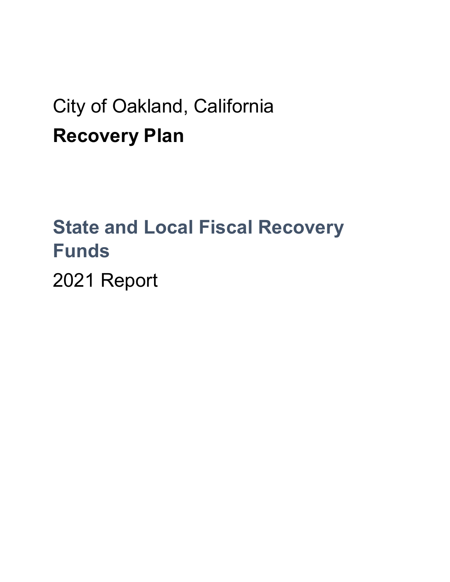## City of Oakland, California **Recovery Plan**

# **State and Local Fiscal Recovery Funds**

2021 Report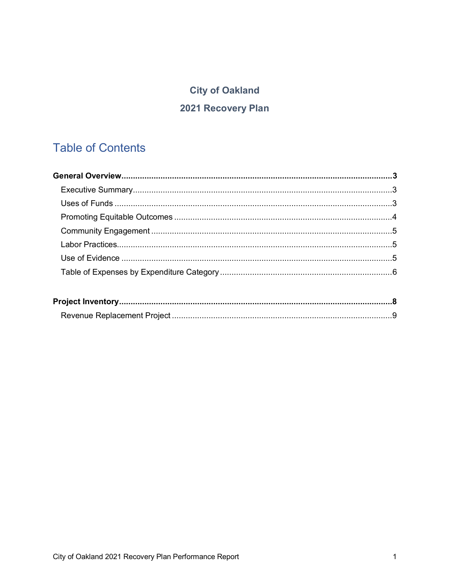## **City of Oakland**

## 2021 Recovery Plan

## **Table of Contents**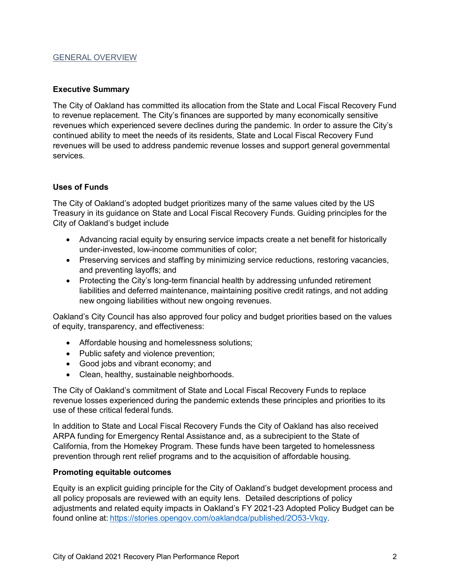#### GENERAL OVERVIEW

#### <span id="page-3-0"></span>**Executive Summary**

The City of Oakland has committed its allocation from the State and Local Fiscal Recovery Fund to revenue replacement. The City's finances are supported by many economically sensitive revenues which experienced severe declines during the pandemic. In order to assure the City's continued ability to meet the needs of its residents, State and Local Fiscal Recovery Fund revenues will be used to address pandemic revenue losses and support general governmental services*.*

#### <span id="page-3-1"></span>**Uses of Funds**

The City of Oakland's adopted budget prioritizes many of the same values cited by the US Treasury in its guidance on State and Local Fiscal Recovery Funds. Guiding principles for the City of Oakland's budget include

- Advancing racial equity by ensuring service impacts create a net benefit for historically under-invested, low-income communities of color;
- Preserving services and staffing by minimizing service reductions, restoring vacancies, and preventing layoffs; and
- Protecting the City's long-term financial health by addressing unfunded retirement liabilities and deferred maintenance, maintaining positive credit ratings, and not adding new ongoing liabilities without new ongoing revenues.

Oakland's City Council has also approved four policy and budget priorities based on the values of equity, transparency, and effectiveness:

- Affordable housing and homelessness solutions;
- Public safety and violence prevention;
- Good jobs and vibrant economy; and
- Clean, healthy, sustainable neighborhoods.

The City of Oakland's commitment of State and Local Fiscal Recovery Funds to replace revenue losses experienced during the pandemic extends these principles and priorities to its use of these critical federal funds.

In addition to State and Local Fiscal Recovery Funds the City of Oakland has also received ARPA funding for Emergency Rental Assistance and, as a subrecipient to the State of California, from the Homekey Program. These funds have been targeted to homelessness prevention through rent relief programs and to the acquisition of affordable housing.

#### <span id="page-3-2"></span>**Promoting equitable outcomes**

Equity is an explicit guiding principle for the City of Oakland's budget development process and all policy proposals are reviewed with an equity lens. Detailed descriptions of policy adjustments and related equity impacts in Oakland's FY 2021-23 Adopted Policy Budget can be found online at: https://stories.opengov.com/oaklandca/published/2O53-Vkqy.